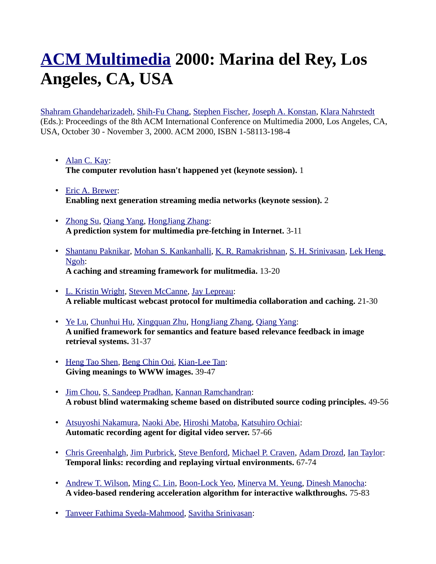## **[ACM Multimedia](http://www.informatik.uni-trier.de/~ley/db/conf/mm/index.html) 2000: Marina del Rey, Los Angeles, CA, USA**

[Shahram Ghandeharizadeh,](http://www.informatik.uni-trier.de/~ley/db/indices/a-tree/g/Ghandeharizadeh:Shahram.html) [Shih-Fu Chang,](http://www.informatik.uni-trier.de/~ley/db/indices/a-tree/c/Chang:Shih=Fu.html) [Stephen Fischer,](http://www.informatik.uni-trier.de/~ley/db/indices/a-tree/f/Fischer:Stephen.html) [Joseph A. Konstan,](http://www.informatik.uni-trier.de/~ley/db/indices/a-tree/k/Konstan:Joseph_A=.html) [Klara Nahrstedt](http://www.informatik.uni-trier.de/~ley/db/indices/a-tree/n/Nahrstedt:Klara.html) (Eds.): Proceedings of the 8th ACM International Conference on Multimedia 2000, Los Angeles, CA, USA, October 30 - November 3, 2000. ACM 2000, ISBN 1-58113-198-4

- • [Alan C. Kay:](http://www.informatik.uni-trier.de/~ley/db/indices/a-tree/k/Kay:Alan_C=.html) **The computer revolution hasn't happened yet (keynote session).** 1
- • [Eric A. Brewer:](http://www.informatik.uni-trier.de/~ley/db/indices/a-tree/b/Brewer:Eric_A=.html) **Enabling next generation streaming media networks (keynote session).** 2
- • [Zhong Su,](http://www.informatik.uni-trier.de/~ley/db/indices/a-tree/s/Su:Zhong.html) [Qiang Yang,](http://www.informatik.uni-trier.de/~ley/db/indices/a-tree/y/Yang:Qiang.html) [HongJiang Zhang:](http://www.informatik.uni-trier.de/~ley/db/indices/a-tree/z/Zhang:HongJiang.html) **A prediction system for multimedia pre-fetching in Internet.** 3-11
- • [Shantanu Paknikar,](http://www.informatik.uni-trier.de/~ley/db/indices/a-tree/p/Paknikar:Shantanu.html) [Mohan S. Kankanhalli,](http://www.informatik.uni-trier.de/~ley/db/indices/a-tree/k/Kankanhalli:Mohan_S=.html) [K. R. Ramakrishnan,](http://www.informatik.uni-trier.de/~ley/db/indices/a-tree/r/Ramakrishnan:K=_R=.html) [S. H. Srinivasan,](http://www.informatik.uni-trier.de/~ley/db/indices/a-tree/s/Srinivasan:S=_H=.html) [Lek Heng](http://www.informatik.uni-trier.de/~ley/db/indices/a-tree/n/Ngoh:Lek_Heng.html)  [Ngoh:](http://www.informatik.uni-trier.de/~ley/db/indices/a-tree/n/Ngoh:Lek_Heng.html) **A caching and streaming framework for mulitmedia.** 13-20
- • [L. Kristin Wright,](http://www.informatik.uni-trier.de/~ley/db/indices/a-tree/w/Wright:L=_Kristin.html) [Steven McCanne,](http://www.informatik.uni-trier.de/~ley/db/indices/a-tree/m/McCanne:Steven.html) [Jay Lepreau:](http://www.informatik.uni-trier.de/~ley/db/indices/a-tree/l/Lepreau:Jay.html) **A reliable multicast webcast protocol for multimedia collaboration and caching.** 21-30
- • [Ye Lu,](http://www.informatik.uni-trier.de/~ley/db/indices/a-tree/l/Lu:Ye.html) [Chunhui Hu,](http://www.informatik.uni-trier.de/~ley/db/indices/a-tree/h/Hu:Chunhui.html) [Xingquan Zhu,](http://www.informatik.uni-trier.de/~ley/db/indices/a-tree/z/Zhu:Xingquan.html) [HongJiang Zhang,](http://www.informatik.uni-trier.de/~ley/db/indices/a-tree/z/Zhang:HongJiang.html) [Qiang Yang:](http://www.informatik.uni-trier.de/~ley/db/indices/a-tree/y/Yang:Qiang.html) **A unified framework for semantics and feature based relevance feedback in image retrieval systems.** 31-37
- • [Heng Tao Shen,](http://www.informatik.uni-trier.de/~ley/db/indices/a-tree/s/Shen:Heng_Tao.html) [Beng Chin Ooi,](http://www.informatik.uni-trier.de/~ley/db/indices/a-tree/o/Ooi:Beng_Chin.html) [Kian-Lee Tan:](http://www.informatik.uni-trier.de/~ley/db/indices/a-tree/t/Tan:Kian=Lee.html) **Giving meanings to WWW images.** 39-47
- • [Jim Chou,](http://www.informatik.uni-trier.de/~ley/db/indices/a-tree/c/Chou:Jim.html) [S. Sandeep Pradhan,](http://www.informatik.uni-trier.de/~ley/db/indices/a-tree/p/Pradhan:S=_Sandeep.html) [Kannan Ramchandran:](http://www.informatik.uni-trier.de/~ley/db/indices/a-tree/r/Ramchandran:Kannan.html) **A robust blind watermaking scheme based on distributed source coding principles.** 49-56
- • [Atsuyoshi Nakamura,](http://www.informatik.uni-trier.de/~ley/db/indices/a-tree/n/Nakamura:Atsuyoshi.html) [Naoki Abe,](http://www.informatik.uni-trier.de/~ley/db/indices/a-tree/a/Abe:Naoki.html) [Hiroshi Matoba,](http://www.informatik.uni-trier.de/~ley/db/indices/a-tree/m/Matoba:Hiroshi.html) [Katsuhiro Ochiai:](http://www.informatik.uni-trier.de/~ley/db/indices/a-tree/o/Ochiai:Katsuhiro.html) **Automatic recording agent for digital video server.** 57-66
- • [Chris Greenhalgh,](http://www.informatik.uni-trier.de/~ley/db/indices/a-tree/g/Greenhalgh:Chris.html) [Jim Purbrick,](http://www.informatik.uni-trier.de/~ley/db/indices/a-tree/p/Purbrick:Jim.html) [Steve Benford,](http://www.informatik.uni-trier.de/~ley/db/indices/a-tree/b/Benford:Steve.html) [Michael P. Craven,](http://www.informatik.uni-trier.de/~ley/db/indices/a-tree/c/Craven:Michael_P=.html) [Adam Drozd,](http://www.informatik.uni-trier.de/~ley/db/indices/a-tree/d/Drozd:Adam.html) [Ian Taylor:](http://www.informatik.uni-trier.de/~ley/db/indices/a-tree/t/Taylor:Ian.html) **Temporal links: recording and replaying virtual environments.** 67-74
- • [Andrew T. Wilson,](http://www.informatik.uni-trier.de/~ley/db/indices/a-tree/w/Wilson:Andrew_T=.html) [Ming C. Lin,](http://www.informatik.uni-trier.de/~ley/db/indices/a-tree/l/Lin:Ming_C=.html) [Boon-Lock Yeo,](http://www.informatik.uni-trier.de/~ley/db/indices/a-tree/y/Yeo:Boon=Lock.html) [Minerva M. Yeung,](http://www.informatik.uni-trier.de/~ley/db/indices/a-tree/y/Yeung:Minerva_M=.html) [Dinesh Manocha:](http://www.informatik.uni-trier.de/~ley/db/indices/a-tree/m/Manocha:Dinesh.html) **A video-based rendering acceleration algorithm for interactive walkthroughs.** 75-83
- • [Tanveer Fathima Syeda-Mahmood,](http://www.informatik.uni-trier.de/~ley/db/indices/a-tree/s/Syeda=Mahmood:Tanveer_Fathima.html) [Savitha Srinivasan:](http://www.informatik.uni-trier.de/~ley/db/indices/a-tree/s/Srinivasan:Savitha.html)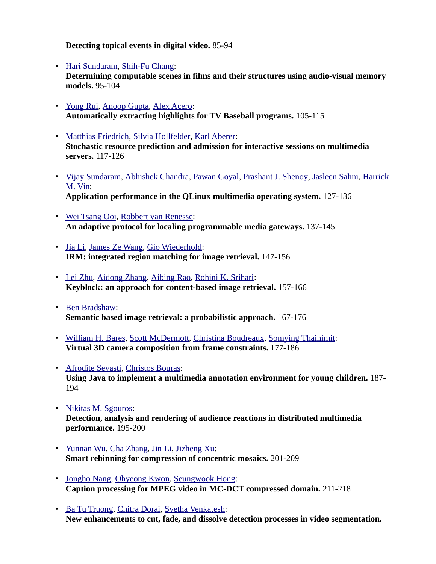**Detecting topical events in digital video.** 85-94

- • [Hari Sundaram,](http://www.informatik.uni-trier.de/~ley/db/indices/a-tree/s/Sundaram:Hari.html) [Shih-Fu Chang:](http://www.informatik.uni-trier.de/~ley/db/indices/a-tree/c/Chang:Shih=Fu.html) **Determining computable scenes in films and their structures using audio-visual memory models.** 95-104
- • [Yong Rui,](http://www.informatik.uni-trier.de/~ley/db/indices/a-tree/r/Rui:Yong.html) [Anoop Gupta,](http://www.informatik.uni-trier.de/~ley/db/indices/a-tree/g/Gupta:Anoop.html) [Alex Acero:](http://www.informatik.uni-trier.de/~ley/db/indices/a-tree/a/Acero:Alex.html) **Automatically extracting highlights for TV Baseball programs.** 105-115
- • [Matthias Friedrich,](http://www.informatik.uni-trier.de/~ley/db/indices/a-tree/f/Friedrich:Matthias.html) [Silvia Hollfelder,](http://www.informatik.uni-trier.de/~ley/db/indices/a-tree/h/Hollfelder:Silvia.html) [Karl Aberer:](http://www.informatik.uni-trier.de/~ley/db/indices/a-tree/a/Aberer:Karl.html) **Stochastic resource prediction and admission for interactive sessions on multimedia servers.** 117-126
- • [Vijay Sundaram,](http://www.informatik.uni-trier.de/~ley/db/indices/a-tree/s/Sundaram:Vijay.html) [Abhishek Chandra,](http://www.informatik.uni-trier.de/~ley/db/indices/a-tree/c/Chandra:Abhishek.html) [Pawan Goyal,](http://www.informatik.uni-trier.de/~ley/db/indices/a-tree/g/Goyal:Pawan.html) [Prashant J. Shenoy,](http://www.informatik.uni-trier.de/~ley/db/indices/a-tree/s/Shenoy:Prashant_J=.html) [Jasleen Sahni,](http://www.informatik.uni-trier.de/~ley/db/indices/a-tree/s/Sahni:Jasleen.html) [Harrick](http://www.informatik.uni-trier.de/~ley/db/indices/a-tree/v/Vin:Harrick_M=.html)  [M. Vin:](http://www.informatik.uni-trier.de/~ley/db/indices/a-tree/v/Vin:Harrick_M=.html) **Application performance in the QLinux multimedia operating system.** 127-136
- • [Wei Tsang Ooi,](http://www.informatik.uni-trier.de/~ley/db/indices/a-tree/o/Ooi:Wei_Tsang.html) [Robbert van Renesse:](http://www.informatik.uni-trier.de/~ley/db/indices/a-tree/r/Renesse:Robbert_van.html) **An adaptive protocol for localing programmable media gateways.** 137-145
- • [Jia Li,](http://www.informatik.uni-trier.de/~ley/db/indices/a-tree/l/Li:Jia.html) [James Ze Wang,](http://www.informatik.uni-trier.de/~ley/db/indices/a-tree/w/Wang:James_Ze.html) [Gio Wiederhold:](http://www.informatik.uni-trier.de/~ley/db/indices/a-tree/w/Wiederhold:Gio.html) **IRM: integrated region matching for image retrieval.** 147-156
- • [Lei Zhu,](http://www.informatik.uni-trier.de/~ley/db/indices/a-tree/z/Zhu:Lei.html) [Aidong Zhang,](http://www.informatik.uni-trier.de/~ley/db/indices/a-tree/z/Zhang:Aidong.html) [Aibing Rao,](http://www.informatik.uni-trier.de/~ley/db/indices/a-tree/r/Rao:Aibing.html) [Rohini K. Srihari:](http://www.informatik.uni-trier.de/~ley/db/indices/a-tree/s/Srihari:Rohini_K=.html) **Keyblock: an approach for content-based image retrieval.** 157-166
- • [Ben Bradshaw:](http://www.informatik.uni-trier.de/~ley/db/indices/a-tree/b/Bradshaw:Ben.html) **Semantic based image retrieval: a probabilistic approach.** 167-176
- • [William H. Bares,](http://www.informatik.uni-trier.de/~ley/db/indices/a-tree/b/Bares:William_H=.html) [Scott McDermott,](http://www.informatik.uni-trier.de/~ley/db/indices/a-tree/m/McDermott:Scott.html) [Christina Boudreaux,](http://www.informatik.uni-trier.de/~ley/db/indices/a-tree/b/Boudreaux:Christina.html) [Somying Thainimit:](http://www.informatik.uni-trier.de/~ley/db/indices/a-tree/t/Thainimit:Somying.html) **Virtual 3D camera composition from frame constraints.** 177-186
- • [Afrodite Sevasti,](http://www.informatik.uni-trier.de/~ley/db/indices/a-tree/s/Sevasti:Afrodite.html) [Christos Bouras:](http://www.informatik.uni-trier.de/~ley/db/indices/a-tree/b/Bouras:Christos.html) **Using Java to implement a multimedia annotation environment for young children.** 187- 194
- • [Nikitas M. Sgouros:](http://www.informatik.uni-trier.de/~ley/db/indices/a-tree/s/Sgouros:Nikitas_M=.html) **Detection, analysis and rendering of audience reactions in distributed multimedia performance.** 195-200
- • [Yunnan Wu,](http://www.informatik.uni-trier.de/~ley/db/indices/a-tree/w/Wu:Yunnan.html) [Cha Zhang,](http://www.informatik.uni-trier.de/~ley/db/indices/a-tree/z/Zhang:Cha.html) [Jin Li,](http://www.informatik.uni-trier.de/~ley/db/indices/a-tree/l/Li:Jin.html) [Jizheng Xu:](http://www.informatik.uni-trier.de/~ley/db/indices/a-tree/x/Xu:Jizheng.html) **Smart rebinning for compression of concentric mosaics.** 201-209
- • [Jongho Nang,](http://www.informatik.uni-trier.de/~ley/db/indices/a-tree/n/Nang:Jongho.html) [Ohyeong Kwon,](http://www.informatik.uni-trier.de/~ley/db/indices/a-tree/k/Kwon:Ohyeong.html) [Seungwook Hong:](http://www.informatik.uni-trier.de/~ley/db/indices/a-tree/h/Hong:Seungwook.html) **Caption processing for MPEG video in MC-DCT compressed domain.** 211-218
- • [Ba Tu Truong,](http://www.informatik.uni-trier.de/~ley/db/indices/a-tree/t/Truong:Ba_Tu.html) [Chitra Dorai,](http://www.informatik.uni-trier.de/~ley/db/indices/a-tree/d/Dorai:Chitra.html) [Svetha Venkatesh:](http://www.informatik.uni-trier.de/~ley/db/indices/a-tree/v/Venkatesh:Svetha.html) **New enhancements to cut, fade, and dissolve detection processes in video segmentation.**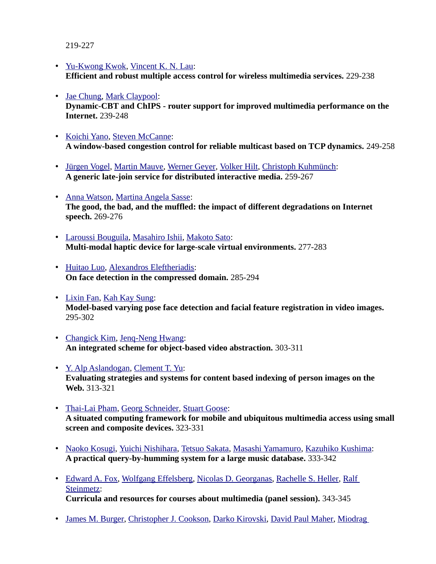219-227

- • [Yu-Kwong Kwok,](http://www.informatik.uni-trier.de/~ley/db/indices/a-tree/k/Kwok:Yu=Kwong.html) [Vincent K. N. Lau:](http://www.informatik.uni-trier.de/~ley/db/indices/a-tree/l/Lau:Vincent_K=_N=.html) **Efficient and robust multiple access control for wireless multimedia services.** 229-238
- • [Jae Chung,](http://www.informatik.uni-trier.de/~ley/db/indices/a-tree/c/Chung:Jae.html) [Mark Claypool:](http://www.informatik.uni-trier.de/~ley/db/indices/a-tree/c/Claypool:Mark.html) **Dynamic-CBT and ChIPS - router support for improved multimedia performance on the Internet.** 239-248
- • [Koichi Yano,](http://www.informatik.uni-trier.de/~ley/db/indices/a-tree/y/Yano:Koichi.html) [Steven McCanne:](http://www.informatik.uni-trier.de/~ley/db/indices/a-tree/m/McCanne:Steven.html) **A window-based congestion control for reliable multicast based on TCP dynamics.** 249-258
- • [Jürgen Vogel,](http://www.informatik.uni-trier.de/~ley/db/indices/a-tree/v/Vogel:J=uuml=rgen.html) [Martin Mauve,](http://www.informatik.uni-trier.de/~ley/db/indices/a-tree/m/Mauve:Martin.html) [Werner Geyer,](http://www.informatik.uni-trier.de/~ley/db/indices/a-tree/g/Geyer:Werner.html) [Volker Hilt,](http://www.informatik.uni-trier.de/~ley/db/indices/a-tree/h/Hilt:Volker.html) [Christoph Kuhmünch:](http://www.informatik.uni-trier.de/~ley/db/indices/a-tree/k/Kuhm=uuml=nch:Christoph.html) **A generic late-join service for distributed interactive media.** 259-267
- • [Anna Watson,](http://www.informatik.uni-trier.de/~ley/db/indices/a-tree/w/Watson:Anna.html) [Martina Angela Sasse:](http://www.informatik.uni-trier.de/~ley/db/indices/a-tree/s/Sasse:Martina_Angela.html) **The good, the bad, and the muffled: the impact of different degradations on Internet speech.** 269-276
- • [Laroussi Bouguila,](http://www.informatik.uni-trier.de/~ley/db/indices/a-tree/b/Bouguila:Laroussi.html) [Masahiro Ishii,](http://www.informatik.uni-trier.de/~ley/db/indices/a-tree/i/Ishii:Masahiro.html) [Makoto Sato:](http://www.informatik.uni-trier.de/~ley/db/indices/a-tree/s/Sato:Makoto.html) **Multi-modal haptic device for large-scale virtual environments.** 277-283
- • [Huitao Luo,](http://www.informatik.uni-trier.de/~ley/db/indices/a-tree/l/Luo:Huitao.html) [Alexandros Eleftheriadis:](http://www.informatik.uni-trier.de/~ley/db/indices/a-tree/e/Eleftheriadis:Alexandros.html) **On face detection in the compressed domain.** 285-294
- • [Lixin Fan,](http://www.informatik.uni-trier.de/~ley/db/indices/a-tree/f/Fan:Lixin.html) [Kah Kay Sung:](http://www.informatik.uni-trier.de/~ley/db/indices/a-tree/s/Sung:Kah_Kay.html) **Model-based varying pose face detection and facial feature registration in video images.**  295-302
- • [Changick Kim,](http://www.informatik.uni-trier.de/~ley/db/indices/a-tree/k/Kim:Changick.html) [Jenq-Neng Hwang:](http://www.informatik.uni-trier.de/~ley/db/indices/a-tree/h/Hwang:Jenq=Neng.html) **An integrated scheme for object-based video abstraction.** 303-311
- • [Y. Alp Aslandogan,](http://www.informatik.uni-trier.de/~ley/db/indices/a-tree/a/Aslandogan:Y=_Alp.html) [Clement T. Yu:](http://www.informatik.uni-trier.de/~ley/db/indices/a-tree/y/Yu:Clement_T=.html) **Evaluating strategies and systems for content based indexing of person images on the Web.** 313-321
- • [Thai-Lai Pham,](http://www.informatik.uni-trier.de/~ley/db/indices/a-tree/p/Pham:Thai=Lai.html) [Georg Schneider,](http://www.informatik.uni-trier.de/~ley/db/indices/a-tree/s/Schneider_0002:Georg.html) [Stuart Goose:](http://www.informatik.uni-trier.de/~ley/db/indices/a-tree/g/Goose:Stuart.html) **A situated computing framework for mobile and ubiquitous multimedia access using small screen and composite devices.** 323-331
- • [Naoko Kosugi,](http://www.informatik.uni-trier.de/~ley/db/indices/a-tree/k/Kosugi:Naoko.html) [Yuichi Nishihara,](http://www.informatik.uni-trier.de/~ley/db/indices/a-tree/n/Nishihara:Yuichi.html) [Tetsuo Sakata,](http://www.informatik.uni-trier.de/~ley/db/indices/a-tree/s/Sakata:Tetsuo.html) [Masashi Yamamuro,](http://www.informatik.uni-trier.de/~ley/db/indices/a-tree/y/Yamamuro:Masashi.html) [Kazuhiko Kushima:](http://www.informatik.uni-trier.de/~ley/db/indices/a-tree/k/Kushima:Kazuhiko.html) **A practical query-by-humming system for a large music database.** 333-342
- • [Edward A. Fox,](http://www.informatik.uni-trier.de/~ley/db/indices/a-tree/f/Fox:Edward_A=.html) [Wolfgang Effelsberg,](http://www.informatik.uni-trier.de/~ley/db/indices/a-tree/e/Effelsberg:Wolfgang.html) [Nicolas D. Georganas,](http://www.informatik.uni-trier.de/~ley/db/indices/a-tree/g/Georganas:Nicolas_D=.html) [Rachelle S. Heller,](http://www.informatik.uni-trier.de/~ley/db/indices/a-tree/h/Heller:Rachelle_S=.html) [Ralf](http://www.informatik.uni-trier.de/~ley/db/indices/a-tree/s/Steinmetz:Ralf.html)  [Steinmetz:](http://www.informatik.uni-trier.de/~ley/db/indices/a-tree/s/Steinmetz:Ralf.html) **Curricula and resources for courses about multimedia (panel session).** 343-345
- • [James M. Burger,](http://www.informatik.uni-trier.de/~ley/db/indices/a-tree/b/Burger:James_M=.html) [Christopher J. Cookson,](http://www.informatik.uni-trier.de/~ley/db/indices/a-tree/c/Cookson:Christopher_J=.html) [Darko Kirovski,](http://www.informatik.uni-trier.de/~ley/db/indices/a-tree/k/Kirovski:Darko.html) [David Paul Maher,](http://www.informatik.uni-trier.de/~ley/db/indices/a-tree/m/Maher:David_Paul.html) [Miodrag](http://www.informatik.uni-trier.de/~ley/db/indices/a-tree/p/Potkonjak:Miodrag.html)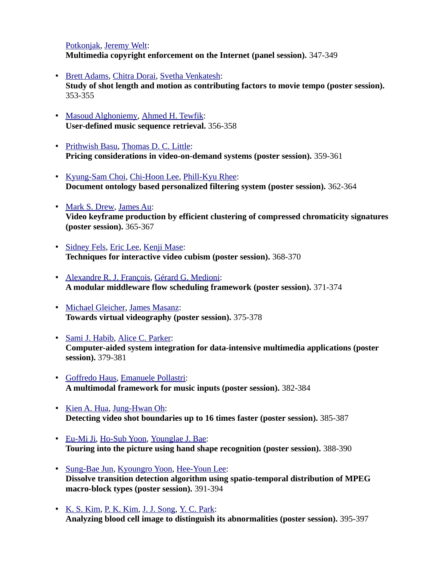## [Potkonjak,](http://www.informatik.uni-trier.de/~ley/db/indices/a-tree/p/Potkonjak:Miodrag.html) [Jeremy Welt:](http://www.informatik.uni-trier.de/~ley/db/indices/a-tree/w/Welt:Jeremy.html)

**Multimedia copyright enforcement on the Internet (panel session).** 347-349

- • [Brett Adams,](http://www.informatik.uni-trier.de/~ley/db/indices/a-tree/a/Adams:Brett.html) [Chitra Dorai,](http://www.informatik.uni-trier.de/~ley/db/indices/a-tree/d/Dorai:Chitra.html) [Svetha Venkatesh:](http://www.informatik.uni-trier.de/~ley/db/indices/a-tree/v/Venkatesh:Svetha.html) **Study of shot length and motion as contributing factors to movie tempo (poster session).**  353-355
- • [Masoud Alghoniemy,](http://www.informatik.uni-trier.de/~ley/db/indices/a-tree/a/Alghoniemy:Masoud.html) [Ahmed H. Tewfik:](http://www.informatik.uni-trier.de/~ley/db/indices/a-tree/t/Tewfik:Ahmed_H=.html) **User-defined music sequence retrieval.** 356-358
- • [Prithwish Basu,](http://www.informatik.uni-trier.de/~ley/db/indices/a-tree/b/Basu:Prithwish.html) [Thomas D. C. Little:](http://www.informatik.uni-trier.de/~ley/db/indices/a-tree/l/Little:Thomas_D=_C=.html) **Pricing considerations in video-on-demand systems (poster session).** 359-361
- • [Kyung-Sam Choi,](http://www.informatik.uni-trier.de/~ley/db/indices/a-tree/c/Choi:Kyung=Sam.html) [Chi-Hoon Lee,](http://www.informatik.uni-trier.de/~ley/db/indices/a-tree/l/Lee:Chi=Hoon.html) [Phill-Kyu Rhee:](http://www.informatik.uni-trier.de/~ley/db/indices/a-tree/r/Rhee:Phill=Kyu.html) **Document ontology based personalized filtering system (poster session).** 362-364
- • [Mark S. Drew,](http://www.informatik.uni-trier.de/~ley/db/indices/a-tree/d/Drew:Mark_S=.html) [James Au:](http://www.informatik.uni-trier.de/~ley/db/indices/a-tree/a/Au:James.html) **Video keyframe production by efficient clustering of compressed chromaticity signatures (poster session).** 365-367
- • [Sidney Fels,](http://www.informatik.uni-trier.de/~ley/db/indices/a-tree/f/Fels:Sidney.html) [Eric Lee,](http://www.informatik.uni-trier.de/~ley/db/indices/a-tree/l/Lee:Eric.html) [Kenji Mase:](http://www.informatik.uni-trier.de/~ley/db/indices/a-tree/m/Mase:Kenji.html) **Techniques for interactive video cubism (poster session).** 368-370
- • [Alexandre R. J. François,](http://www.informatik.uni-trier.de/~ley/db/indices/a-tree/f/Fran=ccedil=ois:Alexandre_R=_J=.html) [Gérard G. Medioni:](http://www.informatik.uni-trier.de/~ley/db/indices/a-tree/m/Medioni:G=eacute=rard_G=.html) **A modular middleware flow scheduling framework (poster session).** 371-374
- • [Michael Gleicher,](http://www.informatik.uni-trier.de/~ley/db/indices/a-tree/g/Gleicher:Michael.html) [James Masanz:](http://www.informatik.uni-trier.de/~ley/db/indices/a-tree/m/Masanz:James.html) **Towards virtual videography (poster session).** 375-378
- • [Sami J. Habib,](http://www.informatik.uni-trier.de/~ley/db/indices/a-tree/h/Habib:Sami_J=.html) [Alice C. Parker:](http://www.informatik.uni-trier.de/~ley/db/indices/a-tree/p/Parker:Alice_C=.html) **Computer-aided system integration for data-intensive multimedia applications (poster session).** 379-381
- • [Goffredo Haus,](http://www.informatik.uni-trier.de/~ley/db/indices/a-tree/h/Haus:Goffredo.html) [Emanuele Pollastri:](http://www.informatik.uni-trier.de/~ley/db/indices/a-tree/p/Pollastri:Emanuele.html) **A multimodal framework for music inputs (poster session).** 382-384
- • [Kien A. Hua,](http://www.informatik.uni-trier.de/~ley/db/indices/a-tree/h/Hua:Kien_A=.html) [Jung-Hwan Oh:](http://www.informatik.uni-trier.de/~ley/db/indices/a-tree/o/Oh:Jung=Hwan.html) **Detecting video shot boundaries up to 16 times faster (poster session).** 385-387
- • [Eu-Mi Ji,](http://www.informatik.uni-trier.de/~ley/db/indices/a-tree/j/Ji:Eu=Mi.html) [Ho-Sub Yoon,](http://www.informatik.uni-trier.de/~ley/db/indices/a-tree/y/Yoon:Ho=Sub.html) [Younglae J. Bae:](http://www.informatik.uni-trier.de/~ley/db/indices/a-tree/b/Bae:Younglae_J=.html) **Touring into the picture using hand shape recognition (poster session).** 388-390
- • [Sung-Bae Jun,](http://www.informatik.uni-trier.de/~ley/db/indices/a-tree/j/Jun:Sung=Bae.html) [Kyoungro Yoon,](http://www.informatik.uni-trier.de/~ley/db/indices/a-tree/y/Yoon:Kyoungro.html) [Hee-Youn Lee:](http://www.informatik.uni-trier.de/~ley/db/indices/a-tree/l/Lee:Hee=Youn.html) **Dissolve transition detection algorithm using spatio-temporal distribution of MPEG macro-block types (poster session).** 391-394
- • [K. S. Kim,](http://www.informatik.uni-trier.de/~ley/db/indices/a-tree/k/Kim:K=_S=.html) [P. K. Kim,](http://www.informatik.uni-trier.de/~ley/db/indices/a-tree/k/Kim:P=_K=.html) [J. J. Song,](http://www.informatik.uni-trier.de/~ley/db/indices/a-tree/s/Song:J=_J=.html) [Y. C. Park:](http://www.informatik.uni-trier.de/~ley/db/indices/a-tree/p/Park:Y=_C=.html) **Analyzing blood cell image to distinguish its abnormalities (poster session).** 395-397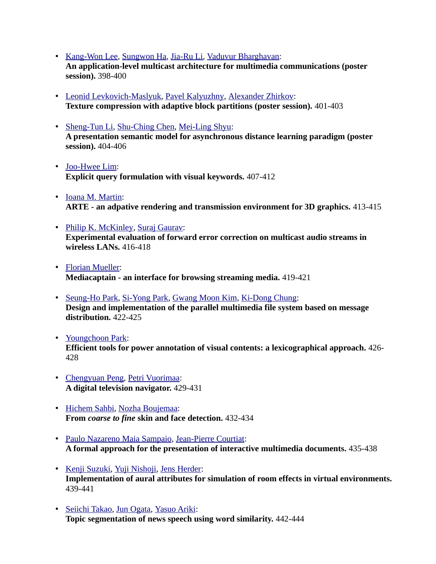- • [Kang-Won Lee,](http://www.informatik.uni-trier.de/~ley/db/indices/a-tree/l/Lee:Kang=Won.html) [Sungwon Ha,](http://www.informatik.uni-trier.de/~ley/db/indices/a-tree/h/Ha:Sungwon.html) [Jia-Ru Li,](http://www.informatik.uni-trier.de/~ley/db/indices/a-tree/l/Li:Jia=Ru.html) [Vaduvur Bharghavan:](http://www.informatik.uni-trier.de/~ley/db/indices/a-tree/b/Bharghavan:Vaduvur.html) **An application-level multicast architecture for multimedia communications (poster session).** 398-400
- • [Leonid Levkovich-Maslyuk,](http://www.informatik.uni-trier.de/~ley/db/indices/a-tree/l/Levkovich=Maslyuk:Leonid.html) [Pavel Kalyuzhny,](http://www.informatik.uni-trier.de/~ley/db/indices/a-tree/k/Kalyuzhny:Pavel.html) [Alexander Zhirkov:](http://www.informatik.uni-trier.de/~ley/db/indices/a-tree/z/Zhirkov:Alexander.html) **Texture compression with adaptive block partitions (poster session).** 401-403
- • [Sheng-Tun Li,](http://www.informatik.uni-trier.de/~ley/db/indices/a-tree/l/Li:Sheng=Tun.html) [Shu-Ching Chen,](http://www.informatik.uni-trier.de/~ley/db/indices/a-tree/c/Chen:Shu=Ching.html) [Mei-Ling Shyu:](http://www.informatik.uni-trier.de/~ley/db/indices/a-tree/s/Shyu:Mei=Ling.html) **A presentation semantic model for asynchronous distance learning paradigm (poster session).** 404-406
- • [Joo-Hwee Lim:](http://www.informatik.uni-trier.de/~ley/db/indices/a-tree/l/Lim:Joo=Hwee.html) **Explicit query formulation with visual keywords.** 407-412
- • [Ioana M. Martin:](http://www.informatik.uni-trier.de/~ley/db/indices/a-tree/m/Martin:Ioana_M=.html) **ARTE - an adpative rendering and transmission environment for 3D graphics.** 413-415
- • [Philip K. McKinley,](http://www.informatik.uni-trier.de/~ley/db/indices/a-tree/m/McKinley:Philip_K=.html) [Suraj Gaurav:](http://www.informatik.uni-trier.de/~ley/db/indices/a-tree/g/Gaurav:Suraj.html) **Experimental evaluation of forward error correction on multicast audio streams in wireless LANs.** 416-418
- • [Florian Mueller:](http://www.informatik.uni-trier.de/~ley/db/indices/a-tree/m/Mueller:Florian.html) **Mediacaptain - an interface for browsing streaming media.** 419-421
- • [Seung-Ho Park,](http://www.informatik.uni-trier.de/~ley/db/indices/a-tree/p/Park:Seung=Ho.html) [Si-Yong Park,](http://www.informatik.uni-trier.de/~ley/db/indices/a-tree/p/Park:Si=Yong.html) [Gwang Moon Kim,](http://www.informatik.uni-trier.de/~ley/db/indices/a-tree/k/Kim:Gwang_Moon.html) [Ki-Dong Chung:](http://www.informatik.uni-trier.de/~ley/db/indices/a-tree/c/Chung:Ki=Dong.html) **Design and implementation of the parallel multimedia file system based on message distribution.** 422-425
- • [Youngchoon Park:](http://www.informatik.uni-trier.de/~ley/db/indices/a-tree/p/Park:Youngchoon.html) **Efficient tools for power annotation of visual contents: a lexicographical approach.** 426- 428
- • [Chengyuan Peng,](http://www.informatik.uni-trier.de/~ley/db/indices/a-tree/p/Peng:Chengyuan.html) [Petri Vuorimaa:](http://www.informatik.uni-trier.de/~ley/db/indices/a-tree/v/Vuorimaa:Petri.html) **A digital television navigator.** 429-431
- • [Hichem Sahbi,](http://www.informatik.uni-trier.de/~ley/db/indices/a-tree/s/Sahbi:Hichem.html) [Nozha Boujemaa:](http://www.informatik.uni-trier.de/~ley/db/indices/a-tree/b/Boujemaa:Nozha.html) **From** *coarse to fine* **skin and face detection.** 432-434
- • [Paulo Nazareno Maia Sampaio,](http://www.informatik.uni-trier.de/~ley/db/indices/a-tree/s/Sampaio:Paulo_Nazareno_Maia.html) [Jean-Pierre Courtiat:](http://www.informatik.uni-trier.de/~ley/db/indices/a-tree/c/Courtiat:Jean=Pierre.html) **A formal approach for the presentation of interactive multimedia documents.** 435-438
- • [Kenji Suzuki,](http://www.informatik.uni-trier.de/~ley/db/indices/a-tree/s/Suzuki:Kenji.html) [Yuji Nishoji,](http://www.informatik.uni-trier.de/~ley/db/indices/a-tree/n/Nishoji:Yuji.html) [Jens Herder:](http://www.informatik.uni-trier.de/~ley/db/indices/a-tree/h/Herder:Jens.html) **Implementation of aural attributes for simulation of room effects in virtual environments.**  439-441
- • [Seiichi Takao,](http://www.informatik.uni-trier.de/~ley/db/indices/a-tree/t/Takao:Seiichi.html) [Jun Ogata,](http://www.informatik.uni-trier.de/~ley/db/indices/a-tree/o/Ogata:Jun.html) [Yasuo Ariki:](http://www.informatik.uni-trier.de/~ley/db/indices/a-tree/a/Ariki:Yasuo.html) **Topic segmentation of news speech using word similarity.** 442-444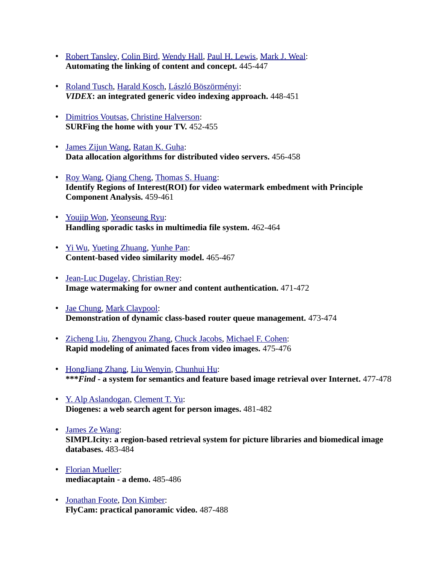- • [Robert Tansley,](http://www.informatik.uni-trier.de/~ley/db/indices/a-tree/t/Tansley:Robert.html) [Colin Bird,](http://www.informatik.uni-trier.de/~ley/db/indices/a-tree/b/Bird:Colin.html) [Wendy Hall,](http://www.informatik.uni-trier.de/~ley/db/indices/a-tree/h/Hall:Wendy.html) [Paul H. Lewis,](http://www.informatik.uni-trier.de/~ley/db/indices/a-tree/l/Lewis:Paul_H=.html) [Mark J. Weal:](http://www.informatik.uni-trier.de/~ley/db/indices/a-tree/w/Weal:Mark_J=.html) **Automating the linking of content and concept.** 445-447
- • [Roland Tusch,](http://www.informatik.uni-trier.de/~ley/db/indices/a-tree/t/Tusch:Roland.html) [Harald Kosch,](http://www.informatik.uni-trier.de/~ley/db/indices/a-tree/k/Kosch:Harald.html) [László Böszörményi:](http://www.informatik.uni-trier.de/~ley/db/indices/a-tree/b/B=ouml=sz=ouml=rm=eacute=nyi:L=aacute=szl=oacute=.html) *VIDEX***: an integrated generic video indexing approach.** 448-451
- • [Dimitrios Voutsas,](http://www.informatik.uni-trier.de/~ley/db/indices/a-tree/v/Voutsas:Dimitrios.html) [Christine Halverson:](http://www.informatik.uni-trier.de/~ley/db/indices/a-tree/h/Halverson:Christine.html) **SURFing the home with your TV.** 452-455
- • [James Zijun Wang,](http://www.informatik.uni-trier.de/~ley/db/indices/a-tree/w/Wang:James_Zijun.html) [Ratan K. Guha:](http://www.informatik.uni-trier.de/~ley/db/indices/a-tree/g/Guha:Ratan_K=.html) **Data allocation algorithms for distributed video servers.** 456-458
- • [Roy Wang,](http://www.informatik.uni-trier.de/~ley/db/indices/a-tree/w/Wang:Roy.html) [Qiang Cheng,](http://www.informatik.uni-trier.de/~ley/db/indices/a-tree/c/Cheng:Qiang.html) [Thomas S. Huang:](http://www.informatik.uni-trier.de/~ley/db/indices/a-tree/h/Huang:Thomas_S=.html) **Identify Regions of Interest(ROI) for video watermark embedment with Principle Component Analysis.** 459-461
- • [Youjip Won,](http://www.informatik.uni-trier.de/~ley/db/indices/a-tree/w/Won:Youjip.html) [Yeonseung Ryu:](http://www.informatik.uni-trier.de/~ley/db/indices/a-tree/r/Ryu:Yeonseung.html) **Handling sporadic tasks in multimedia file system.** 462-464
- • [Yi Wu,](http://www.informatik.uni-trier.de/~ley/db/indices/a-tree/w/Wu:Yi.html) [Yueting Zhuang,](http://www.informatik.uni-trier.de/~ley/db/indices/a-tree/z/Zhuang:Yueting.html) [Yunhe Pan:](http://www.informatik.uni-trier.de/~ley/db/indices/a-tree/p/Pan:Yunhe.html) **Content-based video similarity model.** 465-467
- • [Jean-Luc Dugelay,](http://www.informatik.uni-trier.de/~ley/db/indices/a-tree/d/Dugelay:Jean=Luc.html) [Christian Rey:](http://www.informatik.uni-trier.de/~ley/db/indices/a-tree/r/Rey:Christian.html) **Image watermaking for owner and content authentication.** 471-472
- • [Jae Chung,](http://www.informatik.uni-trier.de/~ley/db/indices/a-tree/c/Chung:Jae.html) [Mark Claypool:](http://www.informatik.uni-trier.de/~ley/db/indices/a-tree/c/Claypool:Mark.html) **Demonstration of dynamic class-based router queue management.** 473-474
- • [Zicheng Liu,](http://www.informatik.uni-trier.de/~ley/db/indices/a-tree/l/Liu:Zicheng.html) [Zhengyou Zhang,](http://www.informatik.uni-trier.de/~ley/db/indices/a-tree/z/Zhang:Zhengyou.html) [Chuck Jacobs,](http://www.informatik.uni-trier.de/~ley/db/indices/a-tree/j/Jacobs:Chuck.html) [Michael F. Cohen:](http://www.informatik.uni-trier.de/~ley/db/indices/a-tree/c/Cohen:Michael_F=.html) **Rapid modeling of animated faces from video images.** 475-476
- • [HongJiang Zhang,](http://www.informatik.uni-trier.de/~ley/db/indices/a-tree/z/Zhang:HongJiang.html) [Liu Wenyin,](http://www.informatik.uni-trier.de/~ley/db/indices/a-tree/w/Wenyin:Liu.html) [Chunhui Hu:](http://www.informatik.uni-trier.de/~ley/db/indices/a-tree/h/Hu:Chunhui.html) **\*\*\****Find* **- a system for semantics and feature based image retrieval over Internet.** 477-478
- • [Y. Alp Aslandogan,](http://www.informatik.uni-trier.de/~ley/db/indices/a-tree/a/Aslandogan:Y=_Alp.html) [Clement T. Yu:](http://www.informatik.uni-trier.de/~ley/db/indices/a-tree/y/Yu:Clement_T=.html) **Diogenes: a web search agent for person images.** 481-482
- • [James Ze Wang:](http://www.informatik.uni-trier.de/~ley/db/indices/a-tree/w/Wang:James_Ze.html) **SIMPLIcity: a region-based retrieval system for picture libraries and biomedical image databases.** 483-484
- • [Florian Mueller:](http://www.informatik.uni-trier.de/~ley/db/indices/a-tree/m/Mueller:Florian.html) **mediacaptain - a demo.** 485-486
- • [Jonathan Foote,](http://www.informatik.uni-trier.de/~ley/db/indices/a-tree/f/Foote:Jonathan.html) [Don Kimber:](http://www.informatik.uni-trier.de/~ley/db/indices/a-tree/k/Kimber:Don.html) **FlyCam: practical panoramic video.** 487-488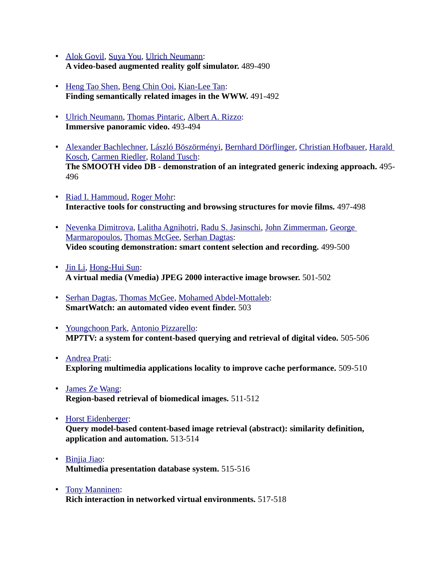- • [Alok Govil,](http://www.informatik.uni-trier.de/~ley/db/indices/a-tree/g/Govil:Alok.html) [Suya You,](http://www.informatik.uni-trier.de/~ley/db/indices/a-tree/y/You:Suya.html) [Ulrich Neumann:](http://www.informatik.uni-trier.de/~ley/db/indices/a-tree/n/Neumann:Ulrich.html) **A video-based augmented reality golf simulator.** 489-490
- • [Heng Tao Shen,](http://www.informatik.uni-trier.de/~ley/db/indices/a-tree/s/Shen:Heng_Tao.html) [Beng Chin Ooi,](http://www.informatik.uni-trier.de/~ley/db/indices/a-tree/o/Ooi:Beng_Chin.html) [Kian-Lee Tan:](http://www.informatik.uni-trier.de/~ley/db/indices/a-tree/t/Tan:Kian=Lee.html) **Finding semantically related images in the WWW.** 491-492
- • [Ulrich Neumann,](http://www.informatik.uni-trier.de/~ley/db/indices/a-tree/n/Neumann:Ulrich.html) [Thomas Pintaric,](http://www.informatik.uni-trier.de/~ley/db/indices/a-tree/p/Pintaric:Thomas.html) [Albert A. Rizzo:](http://www.informatik.uni-trier.de/~ley/db/indices/a-tree/r/Rizzo:Albert_A=.html) **Immersive panoramic video.** 493-494
- • [Alexander Bachlechner,](http://www.informatik.uni-trier.de/~ley/db/indices/a-tree/b/Bachlechner:Alexander.html) [László Böszörményi,](http://www.informatik.uni-trier.de/~ley/db/indices/a-tree/b/B=ouml=sz=ouml=rm=eacute=nyi:L=aacute=szl=oacute=.html) [Bernhard Dörflinger,](http://www.informatik.uni-trier.de/~ley/db/indices/a-tree/d/D=ouml=rflinger:Bernhard.html) [Christian Hofbauer,](http://www.informatik.uni-trier.de/~ley/db/indices/a-tree/h/Hofbauer:Christian.html) [Harald](http://www.informatik.uni-trier.de/~ley/db/indices/a-tree/k/Kosch:Harald.html)  [Kosch,](http://www.informatik.uni-trier.de/~ley/db/indices/a-tree/k/Kosch:Harald.html) [Carmen Riedler,](http://www.informatik.uni-trier.de/~ley/db/indices/a-tree/r/Riedler:Carmen.html) [Roland Tusch:](http://www.informatik.uni-trier.de/~ley/db/indices/a-tree/t/Tusch:Roland.html) **The SMOOTH video DB - demonstration of an integrated generic indexing approach.** 495- 496
- • [Riad I. Hammoud,](http://www.informatik.uni-trier.de/~ley/db/indices/a-tree/h/Hammoud:Riad_I=.html) [Roger Mohr:](http://www.informatik.uni-trier.de/~ley/db/indices/a-tree/m/Mohr:Roger.html) **Interactive tools for constructing and browsing structures for movie films.** 497-498
- • [Nevenka Dimitrova,](http://www.informatik.uni-trier.de/~ley/db/indices/a-tree/d/Dimitrova:Nevenka.html) [Lalitha Agnihotri,](http://www.informatik.uni-trier.de/~ley/db/indices/a-tree/a/Agnihotri:Lalitha.html) [Radu S. Jasinschi,](http://www.informatik.uni-trier.de/~ley/db/indices/a-tree/j/Jasinschi:Radu_S=.html) [John Zimmerman,](http://www.informatik.uni-trier.de/~ley/db/indices/a-tree/z/Zimmerman:John.html) [George](http://www.informatik.uni-trier.de/~ley/db/indices/a-tree/m/Marmaropoulos:George.html)  [Marmaropoulos,](http://www.informatik.uni-trier.de/~ley/db/indices/a-tree/m/Marmaropoulos:George.html) [Thomas McGee,](http://www.informatik.uni-trier.de/~ley/db/indices/a-tree/m/McGee:Thomas.html) [Serhan Dagtas:](http://www.informatik.uni-trier.de/~ley/db/indices/a-tree/d/Dagtas:Serhan.html) **Video scouting demonstration: smart content selection and recording.** 499-500
- • [Jin Li,](http://www.informatik.uni-trier.de/~ley/db/indices/a-tree/l/Li:Jin.html) [Hong-Hui Sun:](http://www.informatik.uni-trier.de/~ley/db/indices/a-tree/s/Sun:Hong=Hui.html) **A virtual media (Vmedia) JPEG 2000 interactive image browser.** 501-502
- • [Serhan Dagtas,](http://www.informatik.uni-trier.de/~ley/db/indices/a-tree/d/Dagtas:Serhan.html) [Thomas McGee,](http://www.informatik.uni-trier.de/~ley/db/indices/a-tree/m/McGee:Thomas.html) [Mohamed Abdel-Mottaleb:](http://www.informatik.uni-trier.de/~ley/db/indices/a-tree/a/Abdel=Mottaleb:Mohamed.html) **SmartWatch: an automated video event finder.** 503
- • [Youngchoon Park,](http://www.informatik.uni-trier.de/~ley/db/indices/a-tree/p/Park:Youngchoon.html) [Antonio Pizzarello:](http://www.informatik.uni-trier.de/~ley/db/indices/a-tree/p/Pizzarello:Antonio.html) **MP7TV: a system for content-based querying and retrieval of digital video.** 505-506
- • [Andrea Prati:](http://www.informatik.uni-trier.de/~ley/db/indices/a-tree/p/Prati:Andrea.html) **Exploring multimedia applications locality to improve cache performance.** 509-510
- • [James Ze Wang:](http://www.informatik.uni-trier.de/~ley/db/indices/a-tree/w/Wang:James_Ze.html) **Region-based retrieval of biomedical images.** 511-512
- • [Horst Eidenberger:](http://www.informatik.uni-trier.de/~ley/db/indices/a-tree/e/Eidenberger:Horst.html) **Query model-based content-based image retrieval (abstract): similarity definition, application and automation.** 513-514
- • [Binjia Jiao:](http://www.informatik.uni-trier.de/~ley/db/indices/a-tree/j/Jiao:Binjia.html) **Multimedia presentation database system.** 515-516
- • [Tony Manninen:](http://www.informatik.uni-trier.de/~ley/db/indices/a-tree/m/Manninen:Tony.html) **Rich interaction in networked virtual environments.** 517-518